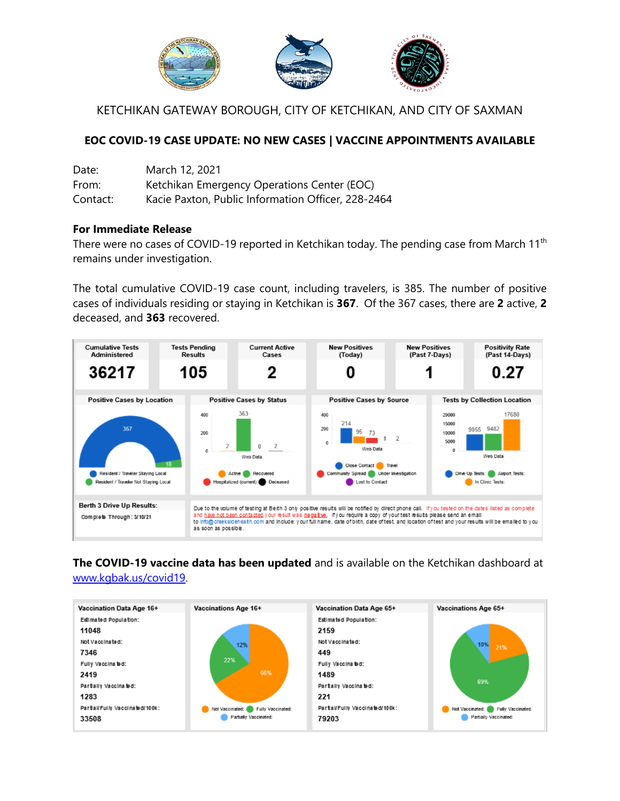

KETCHIKAN GATEWAY BOROUGH, CITY OF KETCHIKAN, AND CITY OF SAXMAN

## **EOC COVID-19 CASE UPDATE: NO NEW CASES | VACCINE APPOINTMENTS AVAILABLE**

| Date:    | March 12, 2021                                     |
|----------|----------------------------------------------------|
| From:    | Ketchikan Emergency Operations Center (EOC)        |
| Contact: | Kacie Paxton, Public Information Officer, 228-2464 |

## **For Immediate Release**

There were no cases of COVID-19 reported in Ketchikan today. The pending case from March 11<sup>th</sup> remains under investigation.

The total cumulative COVID-19 case count, including travelers, is 385. The number of positive cases of individuals residing or staying in Ketchikan is **367**. Of the 367 cases, there are **2** active, **2** deceased, and **363** recovered.



**The COVID-19 vaccine data has been updated** and is available on the Ketchikan dashboard at [www.kgbak.us/covid19.](http://www.kgbak.us/covid19)